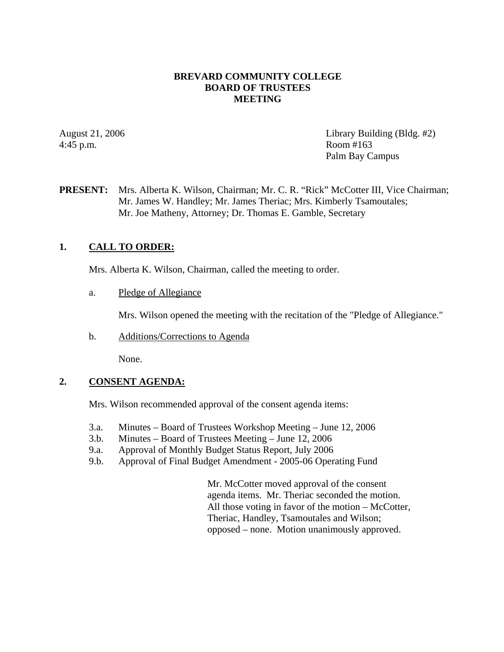### **BREVARD COMMUNITY COLLEGE BOARD OF TRUSTEES MEETING**

4:45 p.m. Room #163

August 21, 2006 Library Building (Bldg. #2) Palm Bay Campus

# **PRESENT:** Mrs. Alberta K. Wilson, Chairman; Mr. C. R. "Rick" McCotter III, Vice Chairman; Mr. James W. Handley; Mr. James Theriac; Mrs. Kimberly Tsamoutales; Mr. Joe Matheny, Attorney; Dr. Thomas E. Gamble, Secretary

# **1. CALL TO ORDER:**

Mrs. Alberta K. Wilson, Chairman, called the meeting to order.

a. Pledge of Allegiance

Mrs. Wilson opened the meeting with the recitation of the "Pledge of Allegiance."

b. Additions/Corrections to Agenda

None.

### **2. CONSENT AGENDA:**

Mrs. Wilson recommended approval of the consent agenda items:

- 3.a. Minutes Board of Trustees Workshop Meeting June 12, 2006
- 3.b. Minutes Board of Trustees Meeting June 12, 2006
- 9.a. Approval of Monthly Budget Status Report, July 2006
- 9.b. Approval of Final Budget Amendment 2005-06 Operating Fund

Mr. McCotter moved approval of the consent agenda items. Mr. Theriac seconded the motion. All those voting in favor of the motion – McCotter, Theriac, Handley, Tsamoutales and Wilson; opposed – none. Motion unanimously approved.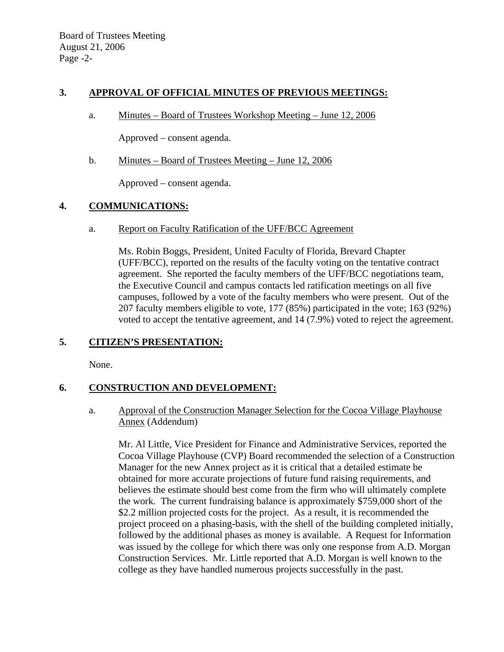### **3. APPROVAL OF OFFICIAL MINUTES OF PREVIOUS MEETINGS:**

a. Minutes – Board of Trustees Workshop Meeting – June 12, 2006

Approved – consent agenda.

b. Minutes – Board of Trustees Meeting – June 12, 2006

Approved – consent agenda.

# **4. COMMUNICATIONS:**

a. Report on Faculty Ratification of the UFF/BCC Agreement

Ms. Robin Boggs, President, United Faculty of Florida, Brevard Chapter (UFF/BCC), reported on the results of the faculty voting on the tentative contract agreement. She reported the faculty members of the UFF/BCC negotiations team, the Executive Council and campus contacts led ratification meetings on all five campuses, followed by a vote of the faculty members who were present. Out of the 207 faculty members eligible to vote, 177 (85%) participated in the vote; 163 (92%) voted to accept the tentative agreement, and 14 (7.9%) voted to reject the agreement.

# **5. CITIZEN'S PRESENTATION:**

None.

# **6. CONSTRUCTION AND DEVELOPMENT:**

a. Approval of the Construction Manager Selection for the Cocoa Village Playhouse Annex (Addendum)

Mr. Al Little, Vice President for Finance and Administrative Services, reported the Cocoa Village Playhouse (CVP) Board recommended the selection of a Construction Manager for the new Annex project as it is critical that a detailed estimate be obtained for more accurate projections of future fund raising requirements, and believes the estimate should best come from the firm who will ultimately complete the work. The current fundraising balance is approximately \$759,000 short of the \$2.2 million projected costs for the project. As a result, it is recommended the project proceed on a phasing-basis, with the shell of the building completed initially, followed by the additional phases as money is available. A Request for Information was issued by the college for which there was only one response from A.D. Morgan Construction Services. Mr. Little reported that A.D. Morgan is well known to the college as they have handled numerous projects successfully in the past.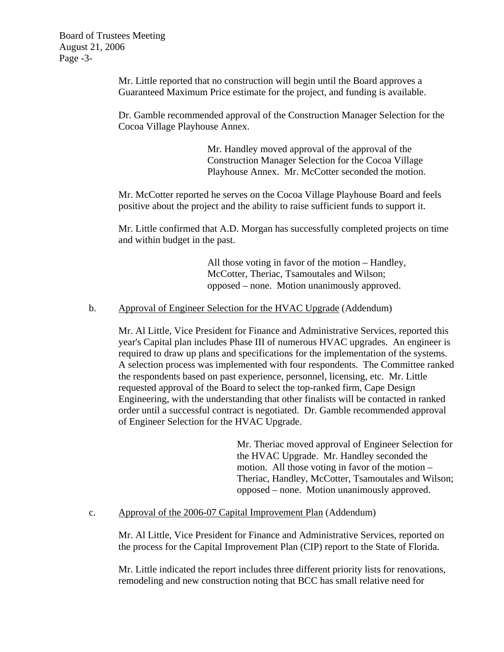Board of Trustees Meeting August 21, 2006 Page -3-

> Mr. Little reported that no construction will begin until the Board approves a Guaranteed Maximum Price estimate for the project, and funding is available.

Dr. Gamble recommended approval of the Construction Manager Selection for the Cocoa Village Playhouse Annex.

> Mr. Handley moved approval of the approval of the Construction Manager Selection for the Cocoa Village Playhouse Annex. Mr. McCotter seconded the motion.

Mr. McCotter reported he serves on the Cocoa Village Playhouse Board and feels positive about the project and the ability to raise sufficient funds to support it.

Mr. Little confirmed that A.D. Morgan has successfully completed projects on time and within budget in the past.

> All those voting in favor of the motion – Handley, McCotter, Theriac, Tsamoutales and Wilson; opposed – none. Motion unanimously approved.

### b. Approval of Engineer Selection for the HVAC Upgrade (Addendum)

Mr. Al Little, Vice President for Finance and Administrative Services, reported this year's Capital plan includes Phase III of numerous HVAC upgrades. An engineer is required to draw up plans and specifications for the implementation of the systems. A selection process was implemented with four respondents. The Committee ranked the respondents based on past experience, personnel, licensing, etc. Mr. Little requested approval of the Board to select the top-ranked firm, Cape Design Engineering, with the understanding that other finalists will be contacted in ranked order until a successful contract is negotiated. Dr. Gamble recommended approval of Engineer Selection for the HVAC Upgrade.

> Mr. Theriac moved approval of Engineer Selection for the HVAC Upgrade. Mr. Handley seconded the motion. All those voting in favor of the motion – Theriac, Handley, McCotter, Tsamoutales and Wilson; opposed – none. Motion unanimously approved.

### c. Approval of the 2006-07 Capital Improvement Plan (Addendum)

Mr. Al Little, Vice President for Finance and Administrative Services, reported on the process for the Capital Improvement Plan (CIP) report to the State of Florida.

Mr. Little indicated the report includes three different priority lists for renovations, remodeling and new construction noting that BCC has small relative need for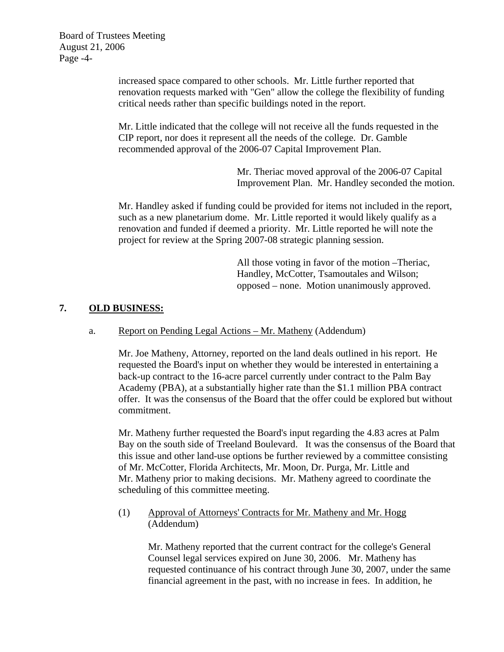Board of Trustees Meeting August 21, 2006 Page -4-

> increased space compared to other schools. Mr. Little further reported that renovation requests marked with "Gen" allow the college the flexibility of funding critical needs rather than specific buildings noted in the report.

Mr. Little indicated that the college will not receive all the funds requested in the CIP report, nor does it represent all the needs of the college. Dr. Gamble recommended approval of the 2006-07 Capital Improvement Plan.

> Mr. Theriac moved approval of the 2006-07 Capital Improvement Plan. Mr. Handley seconded the motion.

Mr. Handley asked if funding could be provided for items not included in the report, such as a new planetarium dome. Mr. Little reported it would likely qualify as a renovation and funded if deemed a priority. Mr. Little reported he will note the project for review at the Spring 2007-08 strategic planning session.

> All those voting in favor of the motion –Theriac, Handley, McCotter, Tsamoutales and Wilson; opposed – none. Motion unanimously approved.

# **7. OLD BUSINESS:**

## a. Report on Pending Legal Actions – Mr. Matheny (Addendum)

Mr. Joe Matheny, Attorney, reported on the land deals outlined in his report. He requested the Board's input on whether they would be interested in entertaining a back-up contract to the 16-acre parcel currently under contract to the Palm Bay Academy (PBA), at a substantially higher rate than the \$1.1 million PBA contract offer. It was the consensus of the Board that the offer could be explored but without commitment.

Mr. Matheny further requested the Board's input regarding the 4.83 acres at Palm Bay on the south side of Treeland Boulevard. It was the consensus of the Board that this issue and other land-use options be further reviewed by a committee consisting of Mr. McCotter, Florida Architects, Mr. Moon, Dr. Purga, Mr. Little and Mr. Matheny prior to making decisions. Mr. Matheny agreed to coordinate the scheduling of this committee meeting.

# (1) Approval of Attorneys' Contracts for Mr. Matheny and Mr. Hogg (Addendum)

Mr. Matheny reported that the current contract for the college's General Counsel legal services expired on June 30, 2006. Mr. Matheny has requested continuance of his contract through June 30, 2007, under the same financial agreement in the past, with no increase in fees. In addition, he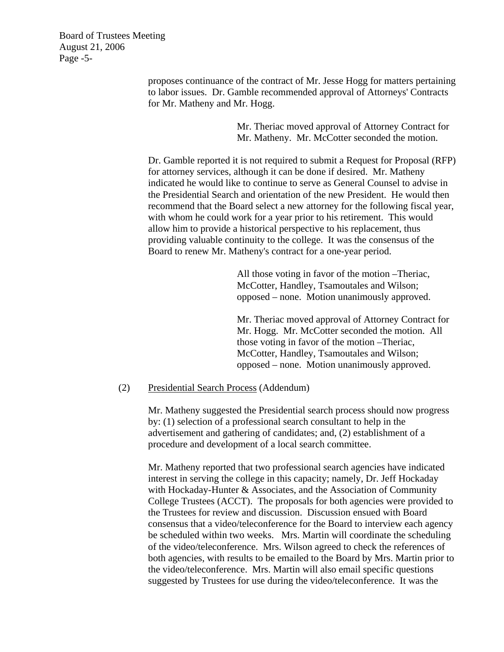Board of Trustees Meeting August 21, 2006 Page -5-

> proposes continuance of the contract of Mr. Jesse Hogg for matters pertaining to labor issues. Dr. Gamble recommended approval of Attorneys' Contracts for Mr. Matheny and Mr. Hogg.

> > Mr. Theriac moved approval of Attorney Contract for Mr. Matheny. Mr. McCotter seconded the motion.

Dr. Gamble reported it is not required to submit a Request for Proposal (RFP) for attorney services, although it can be done if desired. Mr. Matheny indicated he would like to continue to serve as General Counsel to advise in the Presidential Search and orientation of the new President. He would then recommend that the Board select a new attorney for the following fiscal year, with whom he could work for a year prior to his retirement. This would allow him to provide a historical perspective to his replacement, thus providing valuable continuity to the college. It was the consensus of the Board to renew Mr. Matheny's contract for a one-year period.

> All those voting in favor of the motion –Theriac, McCotter, Handley, Tsamoutales and Wilson; opposed – none. Motion unanimously approved.

Mr. Theriac moved approval of Attorney Contract for Mr. Hogg. Mr. McCotter seconded the motion. All those voting in favor of the motion –Theriac, McCotter, Handley, Tsamoutales and Wilson; opposed – none. Motion unanimously approved.

#### (2) Presidential Search Process (Addendum)

Mr. Matheny suggested the Presidential search process should now progress by: (1) selection of a professional search consultant to help in the advertisement and gathering of candidates; and, (2) establishment of a procedure and development of a local search committee.

Mr. Matheny reported that two professional search agencies have indicated interest in serving the college in this capacity; namely, Dr. Jeff Hockaday with Hockaday-Hunter & Associates, and the Association of Community College Trustees (ACCT). The proposals for both agencies were provided to the Trustees for review and discussion. Discussion ensued with Board consensus that a video/teleconference for the Board to interview each agency be scheduled within two weeks. Mrs. Martin will coordinate the scheduling of the video/teleconference. Mrs. Wilson agreed to check the references of both agencies, with results to be emailed to the Board by Mrs. Martin prior to the video/teleconference. Mrs. Martin will also email specific questions suggested by Trustees for use during the video/teleconference. It was the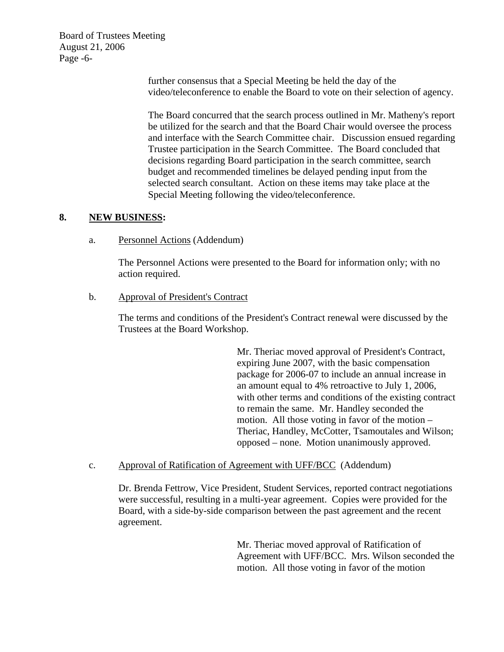Board of Trustees Meeting August 21, 2006 Page -6-

> further consensus that a Special Meeting be held the day of the video/teleconference to enable the Board to vote on their selection of agency.

> The Board concurred that the search process outlined in Mr. Matheny's report be utilized for the search and that the Board Chair would oversee the process and interface with the Search Committee chair. Discussion ensued regarding Trustee participation in the Search Committee. The Board concluded that decisions regarding Board participation in the search committee, search budget and recommended timelines be delayed pending input from the selected search consultant. Action on these items may take place at the Special Meeting following the video/teleconference.

### **8. NEW BUSINESS:**

a. Personnel Actions (Addendum)

The Personnel Actions were presented to the Board for information only; with no action required.

### b. Approval of President's Contract

The terms and conditions of the President's Contract renewal were discussed by the Trustees at the Board Workshop.

> Mr. Theriac moved approval of President's Contract, expiring June 2007, with the basic compensation package for 2006-07 to include an annual increase in an amount equal to 4% retroactive to July 1, 2006, with other terms and conditions of the existing contract to remain the same. Mr. Handley seconded the motion. All those voting in favor of the motion – Theriac, Handley, McCotter, Tsamoutales and Wilson; opposed – none. Motion unanimously approved.

c. Approval of Ratification of Agreement with UFF/BCC (Addendum)

Dr. Brenda Fettrow, Vice President, Student Services, reported contract negotiations were successful, resulting in a multi-year agreement. Copies were provided for the Board, with a side-by-side comparison between the past agreement and the recent agreement.

> Mr. Theriac moved approval of Ratification of Agreement with UFF/BCC. Mrs. Wilson seconded the motion. All those voting in favor of the motion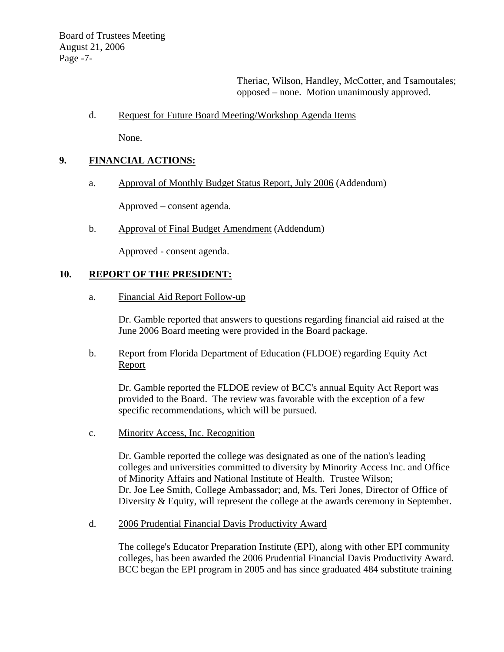Theriac, Wilson, Handley, McCotter, and Tsamoutales; opposed – none. Motion unanimously approved.

### d. Request for Future Board Meeting/Workshop Agenda Items

None.

### **9. FINANCIAL ACTIONS:**

a. Approval of Monthly Budget Status Report, July 2006 (Addendum)

Approved – consent agenda.

b. Approval of Final Budget Amendment (Addendum)

Approved - consent agenda.

# **10. REPORT OF THE PRESIDENT:**

a. Financial Aid Report Follow-up

Dr. Gamble reported that answers to questions regarding financial aid raised at the June 2006 Board meeting were provided in the Board package.

b. Report from Florida Department of Education (FLDOE) regarding Equity Act Report

Dr. Gamble reported the FLDOE review of BCC's annual Equity Act Report was provided to the Board. The review was favorable with the exception of a few specific recommendations, which will be pursued.

c. Minority Access, Inc. Recognition

Dr. Gamble reported the college was designated as one of the nation's leading colleges and universities committed to diversity by Minority Access Inc. and Office of Minority Affairs and National Institute of Health. Trustee Wilson; Dr. Joe Lee Smith, College Ambassador; and, Ms. Teri Jones, Director of Office of Diversity & Equity, will represent the college at the awards ceremony in September.

d. 2006 Prudential Financial Davis Productivity Award

The college's Educator Preparation Institute (EPI), along with other EPI community colleges, has been awarded the 2006 Prudential Financial Davis Productivity Award. BCC began the EPI program in 2005 and has since graduated 484 substitute training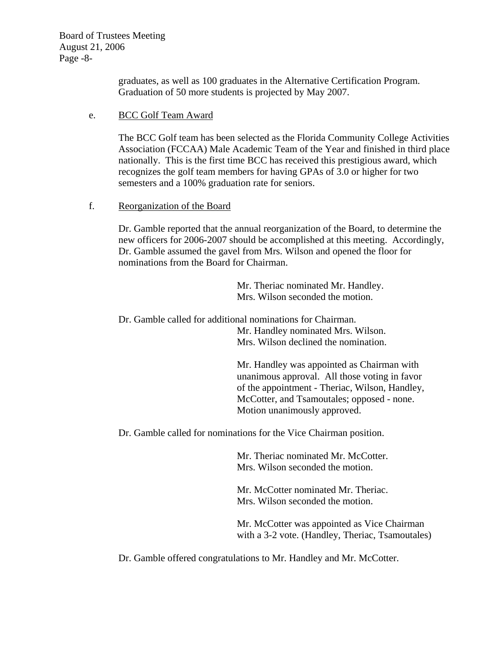Board of Trustees Meeting August 21, 2006 Page -8-

> graduates, as well as 100 graduates in the Alternative Certification Program. Graduation of 50 more students is projected by May 2007.

### e. BCC Golf Team Award

The BCC Golf team has been selected as the Florida Community College Activities Association (FCCAA) Male Academic Team of the Year and finished in third place nationally. This is the first time BCC has received this prestigious award, which recognizes the golf team members for having GPAs of 3.0 or higher for two semesters and a 100% graduation rate for seniors.

### f. Reorganization of the Board

Dr. Gamble reported that the annual reorganization of the Board, to determine the new officers for 2006-2007 should be accomplished at this meeting. Accordingly, Dr. Gamble assumed the gavel from Mrs. Wilson and opened the floor for nominations from the Board for Chairman.

> Mr. Theriac nominated Mr. Handley. Mrs. Wilson seconded the motion.

 Dr. Gamble called for additional nominations for Chairman. Mr. Handley nominated Mrs. Wilson. Mrs. Wilson declined the nomination.

> Mr. Handley was appointed as Chairman with unanimous approval. All those voting in favor of the appointment - Theriac, Wilson, Handley, McCotter, and Tsamoutales; opposed - none. Motion unanimously approved.

Dr. Gamble called for nominations for the Vice Chairman position.

Mr. Theriac nominated Mr. McCotter. Mrs. Wilson seconded the motion.

Mr. McCotter nominated Mr. Theriac. Mrs. Wilson seconded the motion.

Mr. McCotter was appointed as Vice Chairman with a 3-2 vote. (Handley, Theriac, Tsamoutales)

Dr. Gamble offered congratulations to Mr. Handley and Mr. McCotter.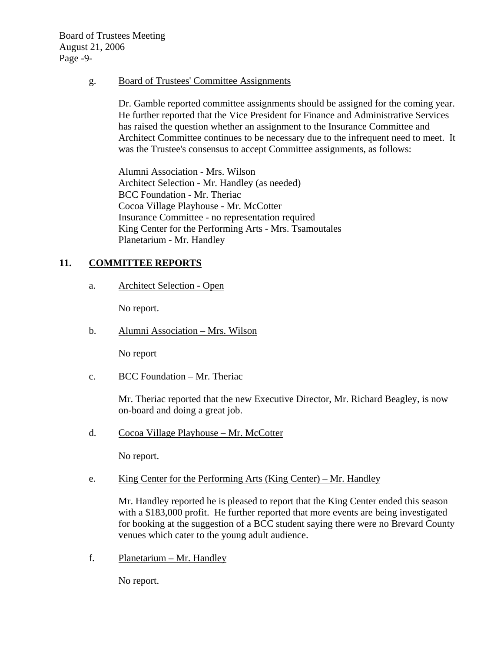Board of Trustees Meeting August 21, 2006 Page -9-

g. Board of Trustees' Committee Assignments

Dr. Gamble reported committee assignments should be assigned for the coming year. He further reported that the Vice President for Finance and Administrative Services has raised the question whether an assignment to the Insurance Committee and Architect Committee continues to be necessary due to the infrequent need to meet. It was the Trustee's consensus to accept Committee assignments, as follows:

Alumni Association - Mrs. Wilson Architect Selection - Mr. Handley (as needed) BCC Foundation - Mr. Theriac Cocoa Village Playhouse - Mr. McCotter Insurance Committee - no representation required King Center for the Performing Arts - Mrs. Tsamoutales Planetarium - Mr. Handley

# **11. COMMITTEE REPORTS**

a. Architect Selection - Open

No report.

b. Alumni Association – Mrs. Wilson

No report

c. BCC Foundation  $-Mr$ . Theriac

Mr. Theriac reported that the new Executive Director, Mr. Richard Beagley, is now on-board and doing a great job.

d. Cocoa Village Playhouse – Mr. McCotter

No report.

e. King Center for the Performing Arts (King Center) – Mr. Handley

Mr. Handley reported he is pleased to report that the King Center ended this season with a \$183,000 profit. He further reported that more events are being investigated for booking at the suggestion of a BCC student saying there were no Brevard County venues which cater to the young adult audience.

f. Planetarium – Mr. Handley

No report.